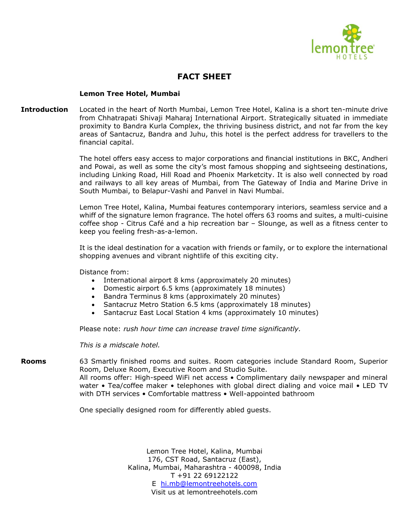

## **FACT SHEET**

## **Lemon Tree Hotel, Mumbai**

**Introduction** Located in the heart of North Mumbai, Lemon Tree Hotel, Kalina is a short ten-minute drive from Chhatrapati Shivaji Maharaj International Airport. Strategically situated in immediate proximity to Bandra Kurla Complex, the thriving business district, and not far from the key areas of Santacruz, Bandra and Juhu, this hotel is the perfect address for travellers to the financial capital.

> The hotel offers easy access to major corporations and financial institutions in BKC, Andheri and Powai, as well as some the city's most famous shopping and sightseeing destinations, including Linking Road, Hill Road and Phoenix Marketcity. It is also well connected by road and railways to all key areas of Mumbai, from The Gateway of India and Marine Drive in South Mumbai, to Belapur-Vashi and Panvel in Navi Mumbai.

> Lemon Tree Hotel, Kalina, Mumbai features contemporary interiors, seamless service and a whiff of the signature lemon fragrance. The hotel offers 63 rooms and suites, a multi-cuisine coffee shop - Citrus Café and a hip recreation bar – Slounge, as well as a fitness center to keep you feeling fresh-as-a-lemon.

> It is the ideal destination for a vacation with friends or family, or to explore the international shopping avenues and vibrant nightlife of this exciting city.

Distance from:

- International airport 8 kms (approximately 20 minutes)
- Domestic airport 6.5 kms (approximately 18 minutes)
- Bandra Terminus 8 kms (approximately 20 minutes)
- Santacruz Metro Station 6.5 kms (approximately 18 minutes)
- Santacruz East Local Station 4 kms (approximately 10 minutes)

Please note: *rush hour time can increase travel time significantly.*

*This is a midscale hotel.*

**Rooms** 63 Smartly finished rooms and suites. Room categories include Standard Room, Superior Room, Deluxe Room, Executive Room and Studio Suite. All rooms offer: High-speed WiFi net access • Complimentary daily newspaper and mineral water • Tea/coffee maker • telephones with global direct dialing and voice mail • LED TV with DTH services • Comfortable mattress • Well-appointed bathroom

One specially designed room for differently abled guests.

Lemon Tree Hotel, Kalina, Mumbai 176, CST Road, Santacruz (East), Kalina, Mumbai, Maharashtra - 400098, India T +91 22 69122122 E [hi.mb@lemontreehotels.com](mailto:hi.mb@lemontreehotels.com) Visit us at lemontreehotels.com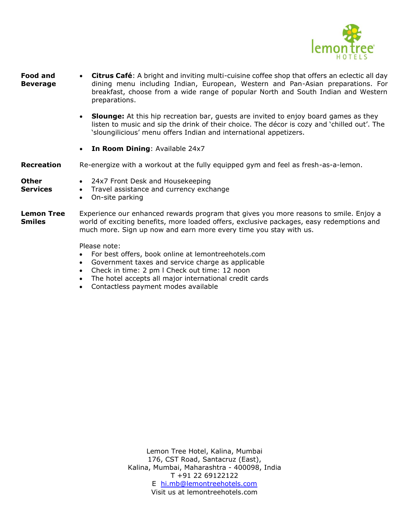

- **Food and Beverage** • **Citrus Café**: A bright and inviting multi-cuisine coffee shop that offers an eclectic all day dining menu including Indian, European, Western and Pan-Asian preparations. For breakfast, choose from a wide range of popular North and South Indian and Western preparations.
	- **Slounge:** At this hip recreation bar, guests are invited to enjoy board games as they listen to music and sip the drink of their choice. The décor is cozy and 'chilled out'. The 'sloungilicious' menu offers Indian and international appetizers.
	- **In Room Dining**: Available 24x7
- **Recreation** Re-energize with a workout at the fully equipped gym and feel as fresh-as-a-lemon.

## **Other Services**

- 24x7 Front Desk and Housekeeping
- Travel assistance and currency exchange
	- On-site parking
- **Lemon Tree Smiles** Experience our enhanced rewards program that gives you more reasons to smile. Enjoy a world of exciting benefits, more loaded offers, exclusive packages, easy redemptions and much more. Sign up now and earn more every time you stay with us.

Please note:

- For best offers, book online at lemontreehotels.com
- Government taxes and service charge as applicable
- Check in time: 2 pm l Check out time: 12 noon
- The hotel accepts all major international credit cards
- Contactless payment modes available

Lemon Tree Hotel, Kalina, Mumbai 176, CST Road, Santacruz (East), Kalina, Mumbai, Maharashtra - 400098, India T +91 22 69122122 E [hi.mb@lemontreehotels.com](mailto:hi.mb@lemontreehotels.com) Visit us at lemontreehotels.com